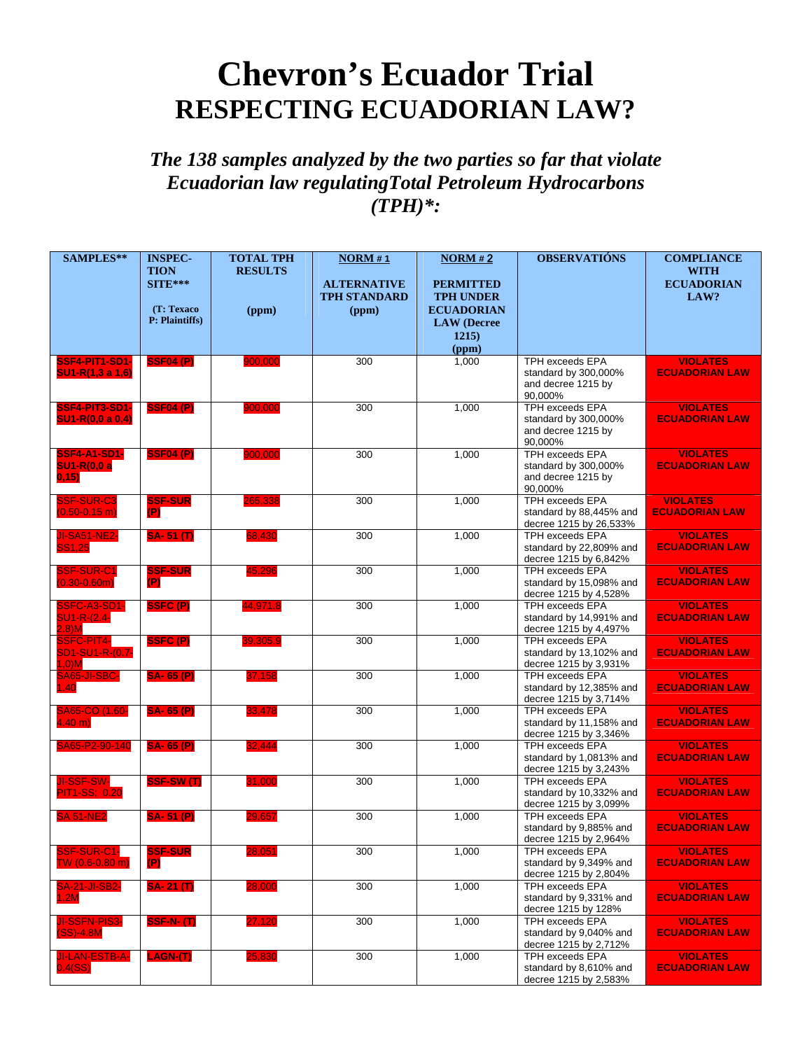## **Chevron's Ecuador Trial RESPECTING ECUADORIAN LAW?**

## *The 138 samples analyzed by the two parties so far that violate Ecuadorian law regulatingTotal Petroleum Hydrocarbons (TPH)\*:*

| SAMPLES**                                                | <b>INSPEC-</b><br><b>TION</b><br>$SITE***$<br>(T: Texaco<br>P: Plaintiffs) | <b>TOTAL TPH</b><br><b>RESULTS</b><br>(ppm) | NORM#1<br><b>ALTERNATIVE</b><br><b>TPH STANDARD</b><br>(ppm) | <b>NORM#2</b><br><b>PERMITTED</b><br><b>TPH UNDER</b><br><b>ECUADORIAN</b><br><b>LAW</b> (Decree<br>1215) | <b>OBSERVATIÓNS</b>                                                             | <b>COMPLIANCE</b><br><b>WITH</b><br><b>ECUADORIAN</b><br>LAW? |
|----------------------------------------------------------|----------------------------------------------------------------------------|---------------------------------------------|--------------------------------------------------------------|-----------------------------------------------------------------------------------------------------------|---------------------------------------------------------------------------------|---------------------------------------------------------------|
|                                                          |                                                                            |                                             |                                                              | (ppm)                                                                                                     |                                                                                 |                                                               |
| SSF4-PIT1-SD1-<br>$SU1-R(1,3 a 1,6)$                     | <b>SSF04 (P)</b>                                                           | 900,000                                     | 300                                                          | 1,000                                                                                                     | <b>TPH exceeds EPA</b><br>standard by 300,000%<br>and decree 1215 by<br>90,000% | <b>VIOLATES</b><br><b>ECUADORIAN LAW</b>                      |
| SSF4-PIT3-SD1-<br>SU1-R(0,0 a 0,4)                       | <b>SSF04 (P)</b>                                                           | 900,000                                     | 300                                                          | 1,000                                                                                                     | <b>TPH exceeds EPA</b><br>standard by 300,000%<br>and decree 1215 by<br>90,000% | <b>VIOLATES</b><br><b>ECUADORIAN LAW</b>                      |
| <b>SSF4-A1-SD1-</b><br><b>SU1-R(0,0 a</b><br>0,15)       | <b>SSF04 (P)</b>                                                           | 900,000                                     | 300                                                          | 1,000                                                                                                     | <b>TPH exceeds EPA</b><br>standard by 300,000%<br>and decree 1215 by<br>90,000% | <b>VIOLATES</b><br><b>ECUADORIAN LAW</b>                      |
| <b>SSF-SUR-C3</b><br>$(0.50 - 0.15)$ m)                  | <b>SSF-SUR</b><br>(P)                                                      | 265,338                                     | 300                                                          | 1,000                                                                                                     | <b>TPH exceeds EPA</b><br>standard by 88,445% and<br>decree 1215 by 26,533%     | <b>VIOLATES</b><br><b>ECUADORIAN LAW</b>                      |
| <b>JI-SA51-NE2-</b><br><b>SS1,25</b>                     | $SA-51(T)$                                                                 | 68,430                                      | 300                                                          | 1,000                                                                                                     | <b>TPH exceeds EPA</b><br>standard by 22,809% and<br>decree 1215 by 6,842%      | <b>VIOLATES</b><br><b>ECUADORIAN LAW</b>                      |
| SSF-SUR-C1<br>$(0.30 - 0.60m)$                           | <b>SSF-SUR</b><br>(P)                                                      | 45.296                                      | 300                                                          | 1,000                                                                                                     | <b>TPH exceeds EPA</b><br>standard by 15,098% and<br>decree 1215 by 4,528%      | <b>VIOLATES</b><br><b>ECUADORIAN LAW</b>                      |
| <b>SSFC-A3-SD1-</b><br><b>SU1-R-(2.4-</b><br>$2.8$ ) $M$ | <b>SSFC (P)</b>                                                            | 44,971.8                                    | 300                                                          | 1,000                                                                                                     | <b>TPH exceeds EPA</b><br>standard by 14,991% and<br>decree 1215 by 4,497%      | <b>VIOLATES</b><br><b>ECUADORIAN LAW</b>                      |
| <b>SSFC-PIT4-</b><br>SD1-SU1-R-(0.7-<br>$1,0)$ M         | SSFC(P)                                                                    | 39,305.9                                    | 300                                                          | 1,000                                                                                                     | <b>TPH exceeds EPA</b><br>standard by 13,102% and<br>decree 1215 by 3,931%      | <b>VIOLATES</b><br><b>ECUADORIAN LAW</b>                      |
| SA65-JI-SBC-<br>1.40                                     | <b>SA-65 (P)</b>                                                           | 37,158                                      | 300                                                          | 1,000                                                                                                     | <b>TPH exceeds EPA</b><br>standard by 12,385% and<br>decree 1215 by 3,714%      | <b>VIOLATES</b><br><b>ECUADORIAN LAW</b>                      |
| SA65-CO (1.60-<br>$4.40 \text{ m}$                       | <b>SA-65 (P)</b>                                                           | 33,478                                      | 300                                                          | 1,000                                                                                                     | <b>TPH exceeds EPA</b><br>standard by 11,158% and<br>decree 1215 by 3,346%      | <b>VIOLATES</b><br><b>ECUADORIAN LAW</b>                      |
| SA65-P2-90-140                                           | <b>SA-65 (P)</b>                                                           | 32,444                                      | 300                                                          | 1,000                                                                                                     | <b>TPH exceeds EPA</b><br>standard by 1,0813% and<br>decree 1215 by 3,243%      | <b>VIOLATES</b><br><b>ECUADORIAN LAW</b>                      |
| <b>JI-SSF-SW-</b><br><b>PIT1-SS; 0.20</b>                | SSF-SW(T)                                                                  | 31,000                                      | 300                                                          | 1,000                                                                                                     | <b>TPH exceeds EPA</b><br>standard by 10,332% and<br>decree 1215 by 3,099%      | <b>VIOLATES</b><br><b>ECUADORIAN LAW</b>                      |
| <b>SA 51-NE2</b>                                         | <b>SA-51 (P)</b>                                                           | 29,657                                      | 300                                                          | 1,000                                                                                                     | <b>TPH exceeds EPA</b><br>standard by 9,885% and<br>decree 1215 by 2,964%       | <b>VIOLATES</b><br><b>ECUADORIAN LAW</b>                      |
| SSF-SUR-C1-<br>$TW(0.6-0.80 m)$                          | <b>SSF-SUR</b><br>(P)                                                      | 28,051                                      | 300                                                          | 1,000                                                                                                     | TPH exceeds EPA<br>standard by 9,349% and<br>decree 1215 by 2,804%              | <b>VIOLATES</b><br><b>ECUADORIAN LAW</b>                      |
| <b>SA-21-JI-SB2-</b><br>1.2M                             | <b>SA-21 (T)</b>                                                           | 28,000                                      | 300                                                          | 1,000                                                                                                     | <b>TPH exceeds EPA</b><br>standard by 9,331% and<br>decree 1215 by 128%         | <b>VIOLATES</b><br><b>ECUADORIAN LAW</b>                      |
| <b>JI-SSFN-PIS3-</b><br>$(SS) - 4.8M$                    | <b>SSF-N-(T)</b>                                                           | 27,120                                      | 300                                                          | 1,000                                                                                                     | TPH exceeds EPA<br>standard by 9,040% and<br>decree 1215 by 2,712%              | <b>VIOLATES</b><br><b>ECUADORIAN LAW</b>                      |
| <b>JI-LAN-ESTB-A-</b><br>$0.4$ (SS)                      | LAGN-(T)                                                                   | 25,830                                      | 300                                                          | 1,000                                                                                                     | <b>TPH exceeds EPA</b><br>standard by 8,610% and<br>decree 1215 by 2,583%       | <b>VIOLATES</b><br><b>ECUADORIAN LAW</b>                      |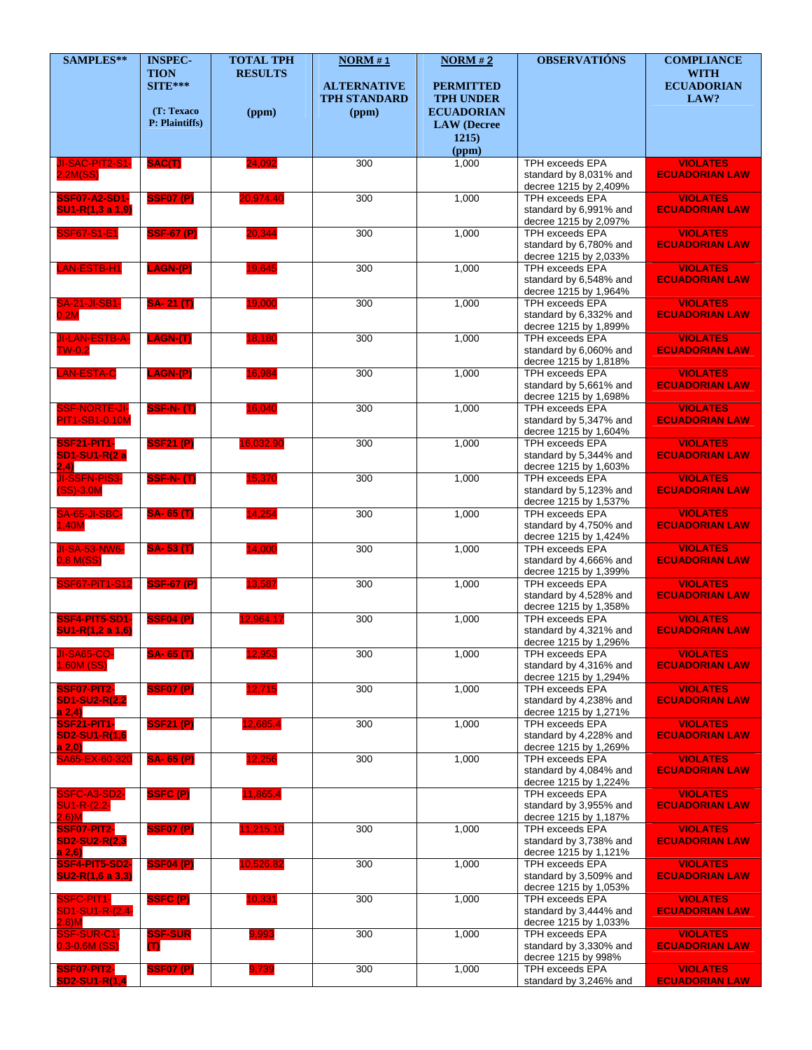| SAMPLES**                                            | <b>INSPEC-</b>                         | <b>TOTAL TPH</b> | NORM#1                                    | NORM#2                                                    | <b>OBSERVATIÓNS</b>                                                       | <b>COMPLIANCE</b>                        |
|------------------------------------------------------|----------------------------------------|------------------|-------------------------------------------|-----------------------------------------------------------|---------------------------------------------------------------------------|------------------------------------------|
|                                                      | <b>TION</b><br>$SITE***$<br>(T: Texaco | <b>RESULTS</b>   | <b>ALTERNATIVE</b><br><b>TPH STANDARD</b> | <b>PERMITTED</b><br><b>TPH UNDER</b><br><b>ECUADORIAN</b> |                                                                           | <b>WITH</b><br><b>ECUADORIAN</b><br>LAW? |
|                                                      | P: Plaintiffs)                         | (ppm)            | (ppm)                                     | <b>LAW</b> (Decree<br>1215)                               |                                                                           |                                          |
|                                                      |                                        |                  |                                           | (ppm)                                                     |                                                                           |                                          |
| JI-SAC-PIT2-S1-<br>2.2M(SS)                          | SAC(T)                                 | 24,092           | 300                                       | 1,000                                                     | <b>TPH exceeds EPA</b><br>standard by 8,031% and<br>decree 1215 by 2,409% | <b>VIOLATES</b><br><b>ECUADORIAN LAW</b> |
| <b>SSF07-A2-SD1-</b><br>SU1-R(1,3 a 1,9)             | <b>SSF07 (P)</b>                       | 20,974.40        | 300                                       | 1,000                                                     | <b>TPH exceeds EPA</b><br>standard by 6,991% and<br>decree 1215 by 2,097% | <b>VIOLATES</b><br><b>ECUADORIAN LAW</b> |
| <b>SSF67-S1-E1</b>                                   | <b>SSF-67 (P)</b>                      | 20,344           | 300                                       | 1,000                                                     | TPH exceeds EPA<br>standard by 6,780% and<br>decree 1215 by 2,033%        | <b>VIOLATES</b><br><b>ECUADORIAN LAW</b> |
| LAN-ESTB-H1                                          | <b>LAGN-(P)</b>                        | 19,645           | 300                                       | 1,000                                                     | TPH exceeds EPA<br>standard by 6,548% and<br>decree 1215 by 1,964%        | <b>VIOLATES</b><br><b>ECUADORIAN LAW</b> |
| <b>SA-21-JI-SB1-</b><br>0.2M                         | <b>SA-21(T)</b>                        | 19,000           | 300                                       | 1,000                                                     | <b>TPH exceeds EPA</b><br>standard by 6,332% and<br>decree 1215 by 1,899% | <b>VIOLATES</b><br><b>ECUADORIAN LAW</b> |
| <b>JI-LAN-ESTB-A-</b><br>$TW-0.2$                    | <b>LAGN-(T)</b>                        | 18,180           | 300                                       | 1,000                                                     | <b>TPH exceeds EPA</b><br>standard by 6,060% and<br>decree 1215 by 1,818% | <b>VIOLATES</b><br><b>ECUADORIAN LAW</b> |
| <b>LAN-ESTA-C</b>                                    | LAGN-(P)                               | 16,984           | 300                                       | 1,000                                                     | <b>TPH exceeds EPA</b><br>standard by 5,661% and<br>decree 1215 by 1,698% | <b>VIOLATES</b><br><b>ECUADORIAN LAW</b> |
| <b>SSF-NORTE-JI-</b><br><b>PIT1-SB1-0.10M</b>        | <b>SSF-N-(T)</b>                       | 16,040           | 300                                       | 1,000                                                     | <b>TPH exceeds EPA</b><br>standard by 5,347% and<br>decree 1215 by 1,604% | <b>VIOLATES</b><br><b>ECUADORIAN LAW</b> |
| <b>SSF21-PIT1-</b><br><b>SD1-SU1-R(2 a</b><br>(2, 4) | <b>SSF21 (P)</b>                       | 16,032.90        | 300                                       | 1,000                                                     | TPH exceeds EPA<br>standard by 5,344% and<br>decree 1215 by 1,603%        | <b>VIOLATES</b><br><b>ECUADORIAN LAW</b> |
| <b>JI-SSFN-PIS3-</b><br>$(SS)-3.0M$                  | <b>SSF-N-(T)</b>                       | 15,370           | 300                                       | 1,000                                                     | <b>TPH exceeds EPA</b><br>standard by 5,123% and<br>decree 1215 by 1,537% | <b>VIOLATES</b><br><b>ECUADORIAN LAW</b> |
| SA-65-JI-SBC-<br>1,40M                               | <b>SA-65 (T)</b>                       | 14,254           | 300                                       | 1,000                                                     | <b>TPH exceeds EPA</b><br>standard by 4,750% and<br>decree 1215 by 1,424% | <b>VIOLATES</b><br><b>ECUADORIAN LAW</b> |
| <b>JI-SA-53-NW6-</b><br>0,8 M(SS)                    | <b>SA-53(T)</b>                        | 14,000           | 300                                       | 1,000                                                     | <b>TPH exceeds EPA</b><br>standard by 4,666% and<br>decree 1215 by 1,399% | <b>VIOLATES</b><br><b>ECUADORIAN LAW</b> |
| <b>SSF67-PiT1-S12</b>                                | <b>SSF-67 (P)</b>                      | 13,587           | 300                                       | 1,000                                                     | TPH exceeds EPA<br>standard by 4,528% and<br>decree 1215 by 1,358%        | <b>VIOLATES</b><br><b>ECUADORIAN LAW</b> |
| SSF4-PIT5-SD1-<br>SU1-R(1,2 a 1,6)                   | <b>SSF04 (P)</b>                       | 12,964.17        | 300                                       | 1,000                                                     | <b>TPH exceeds EPA</b><br>standard by 4,321% and<br>decree 1215 by 1,296% | <b>VIOLATES</b><br><b>ECUADORIAN LAW</b> |
| <b>JI-SA65-CO-</b><br>1.60M (SS)                     | SA- 65 (T)                             | 12,953           | 300                                       | 1,000                                                     | <b>TPH exceeds EPA</b><br>standard by 4,316% and<br>decree 1215 by 1,294% | <b>VIOLATES</b><br><b>ECUADORIAN LAW</b> |
| SSF07-PIT2-<br><b>SD1-SU2-R(2,2</b><br>a 2,4         | <b>SSF07 (P)</b>                       | 12,715           | 300                                       | 1,000                                                     | <b>TPH exceeds EPA</b><br>standard by 4,238% and<br>decree 1215 by 1,271% | <b>VIOLATES</b><br><b>ECUADORIAN LAW</b> |
| <b>SSF21-PIT1-</b><br>SD2-SU1-R(1,6<br>a 2, 0)       | <b>SSF21 (P)</b>                       | 12,685.4         | 300                                       | 1,000                                                     | TPH exceeds EPA<br>standard by 4,228% and<br>decree 1215 by 1,269%        | <b>VIOLATES</b><br><b>ECUADORIAN LAW</b> |
| SA65-EX-60-320                                       | <b>SA-65 (P)</b>                       | 12,256           | 300                                       | 1,000                                                     | TPH exceeds EPA<br>standard by 4,084% and<br>decree 1215 by 1,224%        | <b>VIOLATES</b><br><b>ECUADORIAN LAW</b> |
| SSFC-A3-SD2-<br><b>SU1-R-(2.2-</b><br>2.6)M          | SSFC(P)                                | 11,865.4         |                                           |                                                           | TPH exceeds EPA<br>standard by 3,955% and<br>decree 1215 by 1,187%        | <b>VIOLATES</b><br><b>ECUADORIAN LAW</b> |
| SSF07-PIT2-<br><b>SD2-SU2-R(2,3</b><br>a 2,6)        | <b>SSF07 (P)</b>                       | 11,215.10        | 300                                       | 1,000                                                     | <b>TPH exceeds EPA</b><br>standard by 3,738% and<br>decree 1215 by 1,121% | <b>VIOLATES</b><br><b>ECUADORIAN LAW</b> |
| <b>SSF4-PIT5-SD2-</b><br>$SU2-R(1,6 a 3,3)$          | <b>SSF04 (P)</b>                       | 10,526.82        | 300                                       | 1,000                                                     | TPH exceeds EPA<br>standard by 3,509% and<br>decree 1215 by 1,053%        | <b>VIOLATES</b><br><b>ECUADORIAN LAW</b> |
| <b>SSFC-PIT1-</b><br>SD1-SU1-R-(2.4-<br>$2.8$ ) $M$  | SSFC(P)                                | 10,331           | 300                                       | 1,000                                                     | TPH exceeds EPA<br>standard by 3,444% and<br>decree 1215 by 1,033%        | <b>VIOLATES</b><br><b>ECUADORIAN LAW</b> |
| SSF-SUR-C1-<br>$0.3 - 0.6M$ (SS)                     | <b>SSF-SUR</b><br>$\bf{T}$             | 9,993            | 300                                       | 1,000                                                     | <b>TPH exceeds EPA</b><br>standard by 3,330% and<br>decree 1215 by 998%   | <b>VIOLATES</b><br><b>ECUADORIAN LAW</b> |
| SSF07-PIT2-<br><b>SD2-SU1-R(1,4</b>                  | <b>SSF07 (P)</b>                       | 9,739            | 300                                       | 1,000                                                     | TPH exceeds EPA<br>standard by 3,246% and                                 | <b>VIOLATES</b><br><b>ECUADORIAN LAW</b> |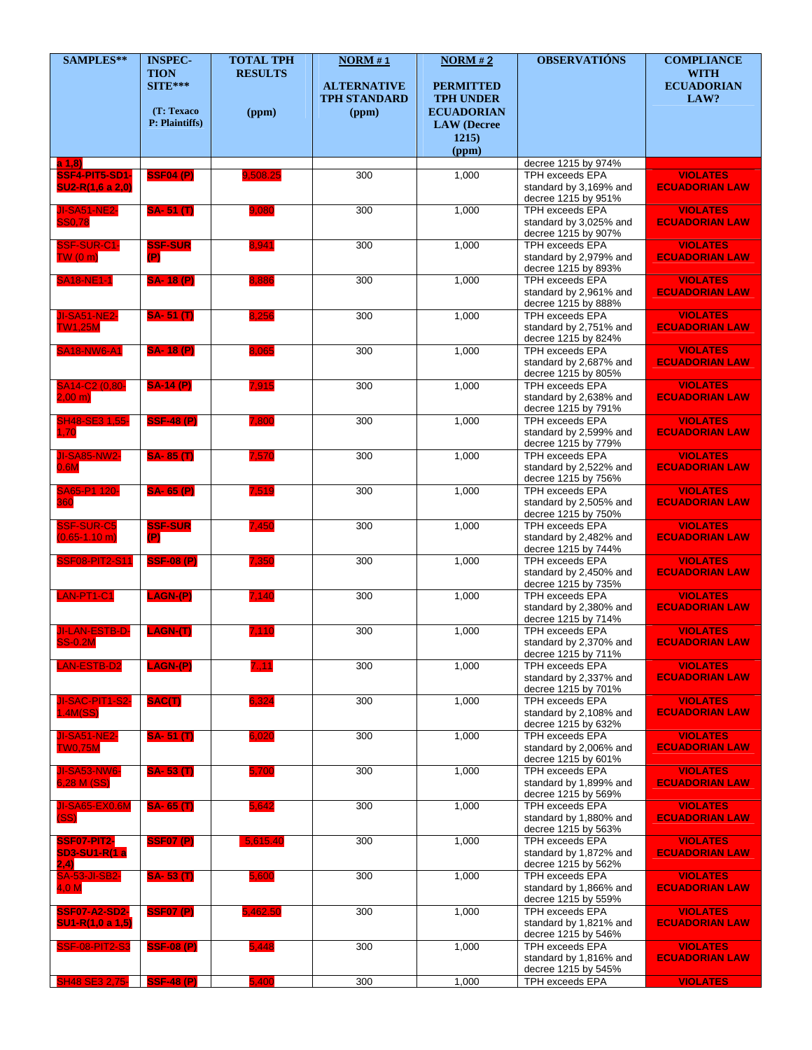| SAMPLES**                                                   | <b>INSPEC-</b><br><b>TION</b><br>$SITE***$ | <b>TOTAL TPH</b><br><b>RESULTS</b> | NORM#1<br><b>ALTERNATIVE</b><br><b>TPH STANDARD</b> | NORM#2<br><b>PERMITTED</b><br><b>TPH UNDER</b>            | <b>OBSERVATIÓNS</b>                                                                               | <b>COMPLIANCE</b><br><b>WITH</b><br><b>ECUADORIAN</b><br>LAW?     |
|-------------------------------------------------------------|--------------------------------------------|------------------------------------|-----------------------------------------------------|-----------------------------------------------------------|---------------------------------------------------------------------------------------------------|-------------------------------------------------------------------|
|                                                             | (T: Texaco<br>P: Plaintiffs)               | (ppm)                              | (ppm)                                               | <b>ECUADORIAN</b><br><b>LAW</b> (Decree<br>1215)<br>(ppm) |                                                                                                   |                                                                   |
| a 1,8<br>SSF4-PIT5-SD1-<br>SU2-R(1,6 a 2,0)                 | <b>SSF04 (P)</b>                           | 9,508.25                           | 300                                                 | 1,000                                                     | decree 1215 by 974%<br><b>TPH exceeds EPA</b><br>standard by 3,169% and<br>decree 1215 by 951%    | <b>VIOLATES</b><br><b>ECUADORIAN LAW</b>                          |
| <b>JI-SA51-NE2-</b><br><b>SS0,78</b>                        | <b>SA-51(T)</b>                            | 9.080                              | 300                                                 | 1,000                                                     | <b>TPH exceeds EPA</b><br>standard by 3,025% and<br>decree 1215 by 907%                           | <b>VIOLATES</b><br><b>ECUADORIAN LAW</b>                          |
| SSF-SUR-C1-<br>TW(0 m)                                      | <b>SSF-SUR</b><br>(P)                      | 8,941                              | 300                                                 | 1,000                                                     | TPH exceeds EPA<br>standard by 2,979% and<br>decree 1215 by 893%                                  | <b>VIOLATES</b><br><b>ECUADORIAN LAW</b>                          |
| <b>SA18-NE1-1</b>                                           | <b>SA-18 (P)</b>                           | 8,886                              | 300                                                 | 1,000                                                     | <b>TPH exceeds EPA</b><br>standard by 2,961% and<br>decree 1215 by 888%                           | <b>VIOLATES</b><br><b>ECUADORIAN LAW</b>                          |
| <b>JI-SA51-NE2-</b><br><b>TW1,25M</b><br><b>SA18-NW6-A1</b> | <b>SA-51(T)</b><br><b>SA-18 (P)</b>        | 8,256<br>8,065                     | 300<br>300                                          | 1,000<br>1,000                                            | <b>TPH exceeds EPA</b><br>standard by 2,751% and<br>decree 1215 by 824%<br><b>TPH exceeds EPA</b> | <b>VIOLATES</b><br><b>ECUADORIAN LAW</b><br><b>VIOLATES</b>       |
| SA14-C2 (0,80-                                              | <b>SA-14 (P)</b>                           | 7,915                              | 300                                                 | 1,000                                                     | standard by 2,687% and<br>decree 1215 by 805%<br><b>TPH exceeds EPA</b>                           | <b>ECUADORIAN LAW</b><br><b>VIOLATES</b>                          |
| $2,00 \, \text{m}$<br>SH48-SE3 1,55-                        | <b>SSF-48 (P)</b>                          | 7,800                              | 300                                                 | 1,000                                                     | standard by 2,638% and<br>decree 1215 by 791%<br>TPH exceeds EPA                                  | <b>ECUADORIAN LAW</b><br><b>VIOLATES</b>                          |
| 1,70<br><b>JI-SA85-NW2-</b>                                 | <b>SA-85(T)</b>                            | 7,570                              | 300                                                 | 1,000                                                     | standard by 2,599% and<br>decree 1215 by 779%<br><b>TPH exceeds EPA</b>                           | <b>ECUADORIAN LAW</b><br><b>VIOLATES</b>                          |
| 0.6M<br>SA65-P1 120-                                        | <b>SA-65 (P)</b>                           | 7,519                              | 300                                                 | 1,000                                                     | standard by 2,522% and<br>decree 1215 by 756%<br><b>TPH exceeds EPA</b>                           | <b>ECUADORIAN LAW</b><br><b>VIOLATES</b>                          |
| 360<br><b>SSF-SUR-C5</b>                                    | <b>SSF-SUR</b>                             | 7,450                              | 300                                                 | 1,000                                                     | standard by 2,505% and<br>decree 1215 by 750%<br><b>TPH exceeds EPA</b>                           | <b>ECUADORIAN LAW</b><br><b>VIOLATES</b>                          |
| $(0.65 - 1.10)$ m)<br><b>SSF08-PIT2-S11</b>                 | (P)<br><b>SSF-08 (P)</b>                   | 7,350                              | 300                                                 | 1,000                                                     | standard by 2,482% and<br>decree 1215 by 744%<br><b>TPH exceeds EPA</b>                           | <b>ECUADORIAN LAW</b><br><b>VIOLATES</b>                          |
| LAN-PT1-C1                                                  | LAGN-(P)                                   | 7,140                              | 300                                                 | 1,000                                                     | standard by 2,450% and<br>decree 1215 by 735%<br>TPH exceeds EPA                                  | <b>ECUADORIAN LAW</b><br><b>VIOLATES</b>                          |
| <b>JI-LAN-ESTB-D-</b>                                       | LAGN-(T)                                   | 7,110                              | 300                                                 | 1,000                                                     | standard by 2,380% and<br>decree 1215 by 714%<br><b>TPH exceeds EPA</b>                           | <b>ECUADORIAN LAW</b><br><b>VIOLATES</b>                          |
| <b>SS-0.2M</b><br><b>LAN-ESTB-D2</b>                        | <b>LAGN-(P)</b>                            | 7.11                               | 300                                                 | 1,000                                                     | standard by 2,370% and<br>decree 1215 by 711%<br>TPH exceeds EPA<br>standard by 2,337% and        | <b>ECUADORIAN LAW</b><br><b>VIOLATES</b><br><b>ECUADORIAN LAW</b> |
| JI-SAC-PIT1-S2-<br>1.4M(SS)                                 | SAC(T)                                     | 6,324                              | 300                                                 | 1,000                                                     | decree 1215 by 701%<br><b>TPH exceeds EPA</b><br>standard by 2,108% and                           | <b>VIOLATES</b><br><b>ECUADORIAN LAW</b>                          |
| <b>JI-SA51-NE2-</b><br><b>TW0,75M</b>                       | <b>SA-51(T)</b>                            | 6,020                              | 300                                                 | 1,000                                                     | decree 1215 by 632%<br><b>TPH exceeds EPA</b><br>standard by 2,006% and                           | <b>VIOLATES</b><br><b>ECUADORIAN LAW</b>                          |
| <b>JI-SA53-NW6-</b><br>6,28 M (SS)                          | <b>SA-53(T)</b>                            | 5,700                              | 300                                                 | 1,000                                                     | decree 1215 by 601%<br>TPH exceeds EPA<br>standard by 1,899% and                                  | <b>VIOLATES</b><br><b>ECUADORIAN LAW</b>                          |
| <b>JI-SA65-EX0.6M</b><br>(SS)                               | <b>SA-65(T)</b>                            | 5,642                              | 300                                                 | 1,000                                                     | decree 1215 by 569%<br>TPH exceeds EPA<br>standard by 1,880% and                                  | <b>VIOLATES</b><br><b>ECUADORIAN LAW</b>                          |
| SSF07-PIT2-<br><b>SD3-SU1-R(1 a</b>                         | <b>SSF07 (P)</b>                           | 5,615.40                           | 300                                                 | 1,000                                                     | decree 1215 by 563%<br>TPH exceeds EPA<br>standard by 1,872% and                                  | <b>VIOLATES</b><br><b>ECUADORIAN LAW</b>                          |
| (2,4)<br><b>SA-53-JI-SB2-</b><br>4,0 M                      | <b>SA-53(T)</b>                            | 5,600                              | 300                                                 | 1,000                                                     | decree 1215 by 562%<br><b>TPH exceeds EPA</b><br>standard by 1,866% and                           | <b>VIOLATES</b><br><b>ECUADORIAN LAW</b>                          |
| <b>SSF07-A2-SD2-</b><br>SU1-R(1,0 a 1,5)                    | <b>SSF07 (P)</b>                           | 5,462.50                           | 300                                                 | 1,000                                                     | decree 1215 by 559%<br>TPH exceeds EPA<br>standard by 1,821% and                                  | <b>VIOLATES</b><br><b>ECUADORIAN LAW</b>                          |
| <b>SSF-08-PIT2-S3</b>                                       | <b>SSF-08 (P)</b>                          | 5,448                              | 300                                                 | 1,000                                                     | decree 1215 by 546%<br>TPH exceeds EPA<br>standard by 1,816% and<br>decree 1215 by 545%           | <b>VIOLATES</b><br><b>ECUADORIAN LAW</b>                          |
| <b>SH48 SE3 2,75-</b>                                       | <b>SSF-48 (P)</b>                          | 5,400                              | 300                                                 | 1,000                                                     | TPH exceeds EPA                                                                                   | <b>VIOLATES</b>                                                   |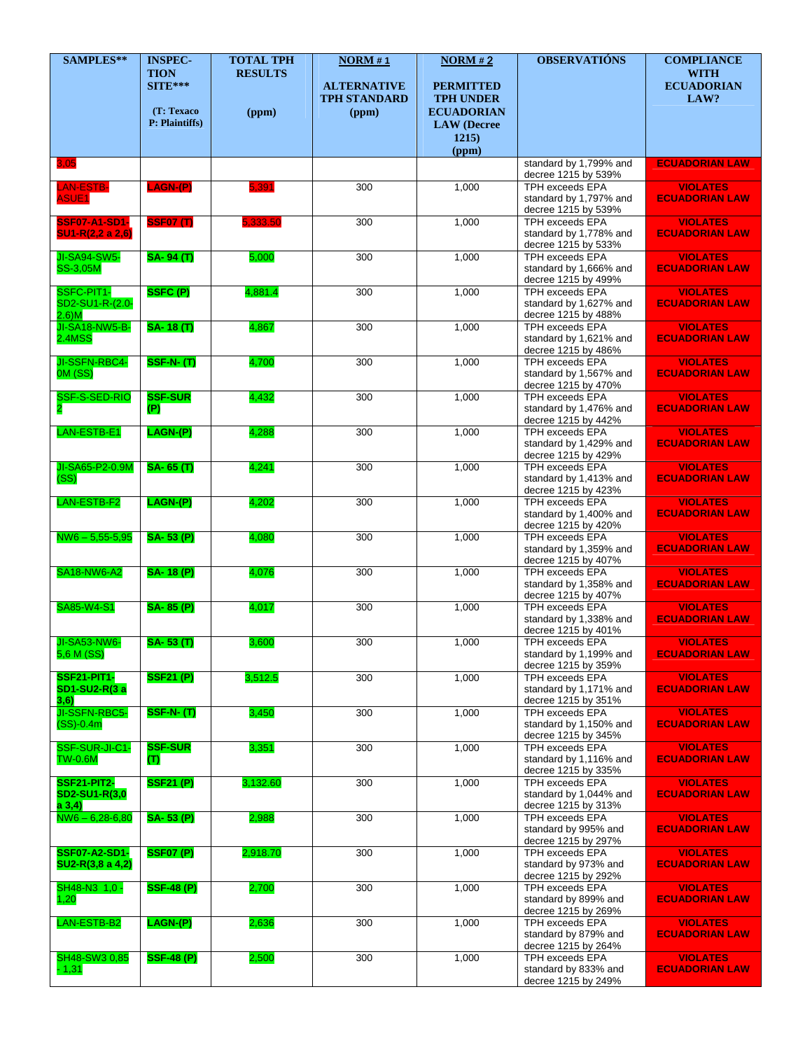| SAMPLES**                                     | <b>INSPEC-</b>                         | <b>TOTAL TPH</b>        | NORM#1                                             | NORM#2                                                    | <b>OBSERVATIONS</b>                                                                            | <b>COMPLIANCE</b>                        |
|-----------------------------------------------|----------------------------------------|-------------------------|----------------------------------------------------|-----------------------------------------------------------|------------------------------------------------------------------------------------------------|------------------------------------------|
|                                               | <b>TION</b><br>$SITE***$<br>(T: Texaco | <b>RESULTS</b><br>(ppm) | <b>ALTERNATIVE</b><br><b>TPH STANDARD</b><br>(ppm) | <b>PERMITTED</b><br><b>TPH UNDER</b><br><b>ECUADORIAN</b> |                                                                                                | <b>WITH</b><br><b>ECUADORIAN</b><br>LAW? |
|                                               | P: Plaintiffs)                         |                         |                                                    | <b>LAW</b> (Decree<br>1215)<br>(ppm)                      |                                                                                                |                                          |
| 3,05                                          |                                        |                         |                                                    |                                                           | standard by 1,799% and                                                                         | <b>ECUADORIAN LAW</b>                    |
| LAN-ESTB-<br><b>ASUE1</b>                     | LAGN-(P)                               | 5,391                   | 300                                                | 1,000                                                     | decree 1215 by 539%<br><b>TPH exceeds EPA</b><br>standard by 1,797% and<br>decree 1215 by 539% | <b>VIOLATES</b><br><b>ECUADORIAN LAW</b> |
| <b>SSF07-A1-SD1-</b><br>SU1-R(2,2 a 2,6)      | <b>SSF07 (T)</b>                       | 5,333.50                | 300                                                | 1,000                                                     | TPH exceeds EPA<br>standard by 1,778% and<br>decree 1215 by 533%                               | <b>VIOLATES</b><br><b>ECUADORIAN LAW</b> |
| <b>JI-SA94-SW5-</b><br><b>SS-3,05M</b>        | <b>SA-94 (T)</b>                       | 5,000                   | 300                                                | 1,000                                                     | TPH exceeds EPA<br>standard by 1,666% and<br>decree 1215 by 499%                               | <b>VIOLATES</b><br><b>ECUADORIAN LAW</b> |
| SSFC-PIT1-<br>SD2-SU1-R-(2.0-<br>$2.6$ ) $M$  | SSFC(P)                                | 4,881.4                 | 300                                                | 1,000                                                     | <b>TPH exceeds EPA</b><br>standard by 1,627% and<br>decree 1215 by 488%                        | <b>VIOLATES</b><br><b>ECUADORIAN LAW</b> |
| JI-SA18-NW5-B-<br><b>2.4MSS</b>               | <b>SA-18(T)</b>                        | 4,867                   | 300                                                | 1,000                                                     | <b>TPH exceeds EPA</b><br>standard by 1,621% and<br>decree 1215 by 486%                        | <b>VIOLATES</b><br><b>ECUADORIAN LAW</b> |
| JI-SSFN-RBC4-<br>OM(SS)                       | <b>SSF-N-(T)</b>                       | 4,700                   | 300                                                | 1,000                                                     | <b>TPH exceeds EPA</b><br>standard by 1,567% and<br>decree 1215 by 470%                        | <b>VIOLATES</b><br><b>ECUADORIAN LAW</b> |
| SSF-S-SED-RIO                                 | <b>SSF-SUR</b><br>(P)                  | 4,432                   | 300                                                | 1,000                                                     | TPH exceeds EPA<br>standard by 1,476% and<br>decree 1215 by 442%                               | <b>VIOLATES</b><br><b>ECUADORIAN LAW</b> |
| LAN-ESTB-E1                                   | LAGN-(P)                               | 4,288                   | 300                                                | 1,000                                                     | <b>TPH exceeds EPA</b><br>standard by 1,429% and<br>decree 1215 by 429%                        | <b>VIOLATES</b><br><b>ECUADORIAN LAW</b> |
| JI-SA65-P2-0.9M<br>(SS)                       | SA-65(T)                               | 4,241                   | 300                                                | 1,000                                                     | <b>TPH exceeds EPA</b><br>standard by 1,413% and<br>decree 1215 by 423%                        | <b>VIOLATES</b><br><b>ECUADORIAN LAW</b> |
| LAN-ESTB-F2                                   | $LAGN-(P)$                             | 4,202                   | 300                                                | 1,000                                                     | <b>TPH exceeds EPA</b><br>standard by 1,400% and<br>decree 1215 by 420%                        | <b>VIOLATES</b><br><b>ECUADORIAN LAW</b> |
| $NW6 - 5,55-5,95$                             | SA-53 (P)                              | 4,080                   | 300                                                | 1,000                                                     | <b>TPH exceeds EPA</b><br>standard by 1,359% and<br>decree 1215 by 407%                        | <b>VIOLATES</b><br><b>ECUADORIAN LAW</b> |
| <b>SA18-NW6-A2</b>                            | <b>SA-18 (P)</b>                       | 4,076                   | 300                                                | 1,000                                                     | TPH exceeds EPA<br>standard by 1,358% and<br>decree 1215 by 407%                               | <b>VIOLATES</b><br><b>ECUADORIAN LAW</b> |
| SA85-W4-S1                                    | <b>SA-85 (P)</b>                       | 4,017                   | 300                                                | 1,000                                                     | <b>TPH exceeds EPA</b><br>standard by 1,338% and<br>decree 1215 by 401%                        | <b>VIOLATES</b><br><b>ECUADORIAN LAW</b> |
| JI-SA53-NW6-<br>5,6 M (SS)                    | <b>SA-53 (T)</b>                       | 3,600                   | 300                                                | 1,000                                                     | TPH exceeds EPA<br>standard by 1,199% and<br>decree 1215 by 359%                               | <b>VIOLATES</b><br><b>ECUADORIAN LAW</b> |
| <b>SSF21-PIT1-</b><br>SD1-SU2-R(3 a<br>3,6)   | <b>SSF21 (P)</b>                       | 3,512.5                 | 300                                                | 1,000                                                     | <b>TPH exceeds EPA</b><br>standard by 1,171% and<br>decree 1215 by 351%                        | <b>VIOLATES</b><br><b>ECUADORIAN LAW</b> |
| JI-SSFN-RBC5-<br>$(SS)-0.4m$                  | <b>SSF-N-(T)</b>                       | 3,450                   | 300                                                | 1,000                                                     | <b>TPH exceeds EPA</b><br>standard by 1,150% and<br>decree 1215 by 345%                        | <b>VIOLATES</b><br><b>ECUADORIAN LAW</b> |
| SSF-SUR-JI-C1-<br>TW-0.6M                     | <b>SSF-SUR</b><br>(T)                  | 3,351                   | 300                                                | 1,000                                                     | TPH exceeds EPA<br>standard by 1,116% and<br>decree 1215 by 335%                               | <b>VIOLATES</b><br><b>ECUADORIAN LAW</b> |
| <b>SSF21-PIT2-</b><br>SD2-SU1-R(3,0<br>a 3,4) | <b>SSF21 (P)</b>                       | 3,132.60                | 300                                                | 1,000                                                     | TPH exceeds EPA<br>standard by 1,044% and<br>decree 1215 by 313%                               | <b>VIOLATES</b><br><b>ECUADORIAN LAW</b> |
| $NW6 - 6,28-6,80$                             | SA-53 (P)                              | 2,988                   | 300                                                | 1,000                                                     | TPH exceeds EPA<br>standard by 995% and<br>decree 1215 by 297%                                 | <b>VIOLATES</b><br><b>ECUADORIAN LAW</b> |
| <b>SSF07-A2-SD1-</b><br>SU2-R(3,8 a 4,2)      | <b>SSF07 (P)</b>                       | 2,918.70                | 300                                                | 1,000                                                     | <b>TPH exceeds EPA</b><br>standard by 973% and<br>decree 1215 by 292%                          | <b>VIOLATES</b><br><b>ECUADORIAN LAW</b> |
| SH48-N3 1,0 -<br>1,20                         | <b>SSF-48 (P)</b>                      | 2,700                   | 300                                                | 1,000                                                     | <b>TPH exceeds EPA</b><br>standard by 899% and<br>decree 1215 by 269%                          | <b>VIOLATES</b><br><b>ECUADORIAN LAW</b> |
| LAN-ESTB-B2                                   | $LAGN-(P)$                             | 2,636                   | 300                                                | 1,000                                                     | <b>TPH exceeds EPA</b><br>standard by 879% and<br>decree 1215 by 264%                          | <b>VIOLATES</b><br><b>ECUADORIAN LAW</b> |
| SH48-SW3 0,85<br>$-1,31$                      | <b>SSF-48 (P)</b>                      | 2,500                   | 300                                                | 1,000                                                     | TPH exceeds EPA<br>standard by 833% and<br>decree 1215 by 249%                                 | <b>VIOLATES</b><br><b>ECUADORIAN LAW</b> |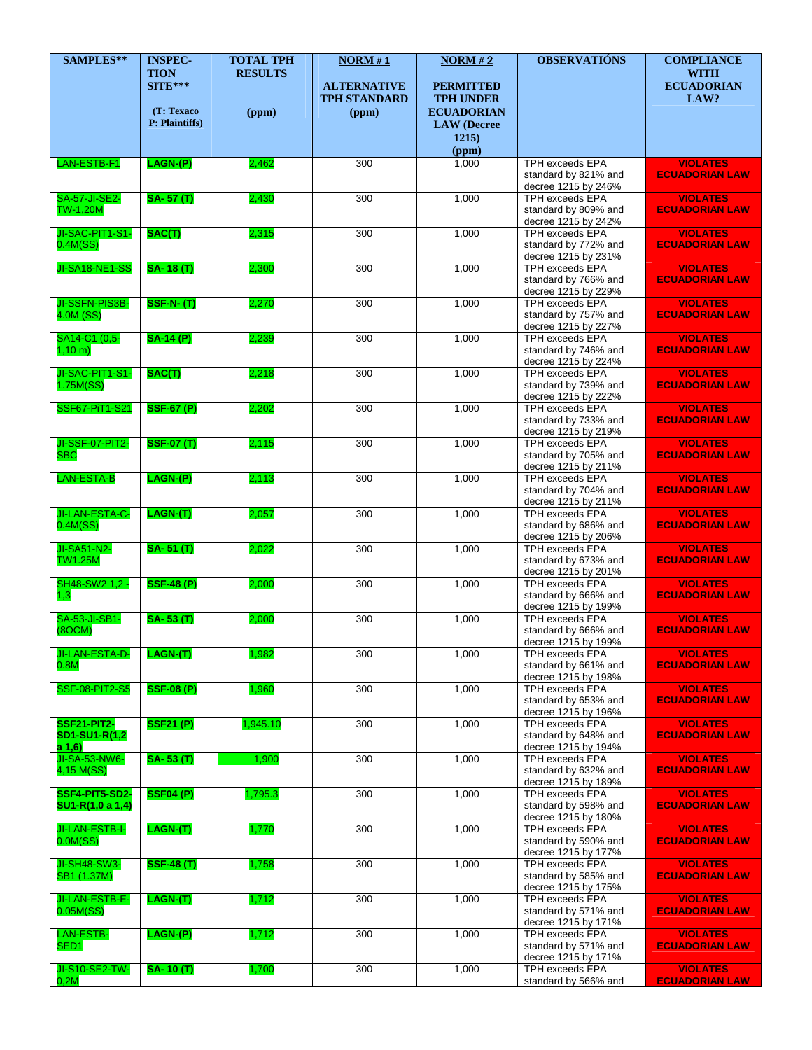| SAMPLES**                                       | <b>INSPEC-</b>                         | <b>TOTAL TPH</b>        | NORM#1                                             | NORM#2                                                    | <b>OBSERVATIÓNS</b>                                                                             | <b>COMPLIANCE</b>                                           |
|-------------------------------------------------|----------------------------------------|-------------------------|----------------------------------------------------|-----------------------------------------------------------|-------------------------------------------------------------------------------------------------|-------------------------------------------------------------|
|                                                 | <b>TION</b><br>$SITE***$<br>(T: Texaco | <b>RESULTS</b><br>(ppm) | <b>ALTERNATIVE</b><br><b>TPH STANDARD</b><br>(ppm) | <b>PERMITTED</b><br><b>TPH UNDER</b><br><b>ECUADORIAN</b> |                                                                                                 | <b>WITH</b><br><b>ECUADORIAN</b><br>LAW?                    |
|                                                 | P: Plaintiffs)                         |                         |                                                    | <b>LAW</b> (Decree<br>1215)                               |                                                                                                 |                                                             |
| LAN-ESTB-F1                                     | LAGN-(P)                               | 2,462                   | 300                                                | (ppm)<br>1,000                                            | <b>TPH exceeds EPA</b>                                                                          | <b>VIOLATES</b>                                             |
|                                                 |                                        |                         |                                                    |                                                           | standard by 821% and<br>decree 1215 by 246%                                                     | <b>ECUADORIAN LAW</b>                                       |
| <b>SA-57-JI-SE2-</b><br><b>TW-1,20M</b>         | $SA - 57(T)$                           | 2,430                   | 300                                                | 1,000                                                     | <b>TPH exceeds EPA</b><br>standard by 809% and<br>decree 1215 by 242%                           | <b>VIOLATES</b><br><b>ECUADORIAN LAW</b>                    |
| JI-SAC-PIT1-S1-<br>$0.4M$ (SS)                  | SAC(T)                                 | 2,315                   | 300                                                | 1,000                                                     | <b>TPH exceeds EPA</b><br>standard by 772% and<br>decree 1215 by 231%                           | <b>VIOLATES</b><br><b>ECUADORIAN LAW</b>                    |
| JI-SA18-NE1-SS                                  | <b>SA-18(T)</b>                        | 2,300                   | 300                                                | 1,000                                                     | <b>TPH exceeds EPA</b><br>standard by 766% and<br>decree 1215 by 229%                           | <b>VIOLATES</b><br><b>ECUADORIAN LAW</b>                    |
| JI-SSFN-PIS3B-<br>4.0M (SS)                     | <b>SSF-N-(T)</b>                       | 2,270                   | 300                                                | 1,000                                                     | <b>TPH exceeds EPA</b><br>standard by 757% and<br>decree 1215 by 227%                           | <b>VIOLATES</b><br><b>ECUADORIAN LAW</b>                    |
| SA14-C1 (0,5-<br>$1,10 \; m)$                   | <b>SA-14 (P)</b>                       | 2,239                   | 300                                                | 1,000                                                     | <b>TPH exceeds EPA</b><br>standard by 746% and<br>decree 1215 by 224%                           | <b>VIOLATES</b><br><b>ECUADORIAN LAW</b>                    |
| JI-SAC-PIT1-S1-<br>1.75M(SS)                    | SAC(T)                                 | 2,218                   | 300                                                | 1,000                                                     | <b>TPH exceeds EPA</b><br>standard by 739% and<br>decree 1215 by 222%                           | <b>VIOLATES</b><br><b>ECUADORIAN LAW</b>                    |
| SSF67-PiT1-S21                                  | <b>SSF-67 (P)</b>                      | 2,202                   | 300                                                | 1,000                                                     | TPH exceeds EPA<br>standard by 733% and<br>decree 1215 by 219%                                  | <b>VIOLATES</b><br><b>ECUADORIAN LAW</b>                    |
| JI-SSF-07-PIT2-<br><b>SBC</b>                   | <b>SSF-07 (T)</b>                      | 2,115                   | 300                                                | 1,000                                                     | <b>TPH exceeds EPA</b><br>standard by 705% and<br>decree 1215 by 211%                           | <b>VIOLATES</b><br><b>ECUADORIAN LAW</b>                    |
| <b>LAN-ESTA-B</b>                               | LAGN-(P)                               | 2,113                   | 300                                                | 1,000                                                     | <b>TPH exceeds EPA</b><br>standard by 704% and<br>decree 1215 by 211%                           | <b>VIOLATES</b><br><b>ECUADORIAN LAW</b>                    |
| JI-LAN-ESTA-C-<br>0.4M(SS)<br>JI-SA51-N2-       | LAGN(T)<br>$SA - 51(T)$                | 2,057<br>2,022          | 300<br>300                                         | 1,000<br>1,000                                            | <b>TPH exceeds EPA</b><br>standard by 686% and<br>decree 1215 by 206%<br><b>TPH exceeds EPA</b> | <b>VIOLATES</b><br><b>ECUADORIAN LAW</b><br><b>VIOLATES</b> |
| <b>TW1.25M</b><br>SH48-SW2 1,2 -                | <b>SSF-48 (P)</b>                      | 2,000                   | 300                                                | 1,000                                                     | standard by 673% and<br>decree 1215 by 201%<br><b>TPH exceeds EPA</b>                           | <b>ECUADORIAN LAW</b><br><b>VIOLATES</b>                    |
| 1,3<br><b>SA-53-JI-SB1-</b>                     | <b>SA-53(T)</b>                        | 2,000                   | 300                                                | 1,000                                                     | standard by 666% and<br>decree 1215 by 199%<br>TPH exceeds EPA                                  | <b>ECUADORIAN LAW</b><br><b>VIOLATES</b>                    |
| (8OCM)<br>JI-LAN-ESTA-D-                        | LAGN(T)                                | 1,982                   | 300                                                | 1,000                                                     | standard by 666% and<br>decree 1215 by 199%<br>TPH exceeds EPA                                  | <b>ECUADORIAN LAW</b><br><b>VIOLATES</b>                    |
| 0.8M<br><b>SSF-08-PIT2-S5</b>                   | <b>SSF-08 (P)</b>                      | 1,960                   | 300                                                | 1,000                                                     | standard by 661% and<br>decree 1215 by 198%<br>TPH exceeds EPA                                  | <b>ECUADORIAN LAW</b><br><b>VIOLATES</b>                    |
| <b>SSF21-PIT2-</b>                              | <b>SSF21 (P)</b>                       | 1,945.10                | 300                                                | 1,000                                                     | standard by 653% and<br>decree 1215 by 196%<br><b>TPH exceeds EPA</b>                           | <b>ECUADORIAN LAW</b><br><b>VIOLATES</b>                    |
| SD1-SU1-R(1,2<br>a 1,6)<br><b>JI-SA-53-NW6-</b> | <b>SA-53 (T)</b>                       | 1,900                   | 300                                                | 1,000                                                     | standard by 648% and<br>decree 1215 by 194%<br>TPH exceeds EPA                                  | <b>ECUADORIAN LAW</b><br><b>VIOLATES</b>                    |
| 4,15 M(SS)<br>SSF4-PIT5-SD2-                    | <b>SSF04 (P)</b>                       | 1,795.3                 | 300                                                | 1,000                                                     | standard by 632% and<br>decree 1215 by 189%<br><b>TPH exceeds EPA</b>                           | <b>ECUADORIAN LAW</b><br><b>VIOLATES</b>                    |
| SU1-R(1,0 a 1,4)<br>JI-LAN-ESTB-I-              | LAGN-(T)                               | 1,770                   | 300                                                | 1,000                                                     | standard by 598% and<br>decree 1215 by 180%<br>TPH exceeds EPA                                  | <b>ECUADORIAN LAW</b><br><b>VIOLATES</b>                    |
| $0.0M$ (SS)<br>JI-SH48-SW3-                     | <b>SSF-48 (T)</b>                      | 1,758                   | 300                                                | 1,000                                                     | standard by 590% and<br>decree 1215 by 177%<br>TPH exceeds EPA                                  | <b>ECUADORIAN LAW</b><br><b>VIOLATES</b>                    |
| SB1 (1.37M)<br>JI-LAN-ESTB-E-                   | LAGN(T)                                | 1,712                   | 300                                                | 1,000                                                     | standard by 585% and<br>decree 1215 by 175%<br><b>TPH exceeds EPA</b>                           | <b>ECUADORIAN LAW</b><br><b>VIOLATES</b>                    |
| 0.05M(SS)<br>LAN-ESTB-                          | LAGN-(P)                               | 1,712                   | 300                                                | 1,000                                                     | standard by 571% and<br>decree 1215 by 171%<br><b>TPH exceeds EPA</b>                           | <b>ECUADORIAN LAW</b><br><b>VIOLATES</b>                    |
| SED <sub>1</sub><br>JI-S10-SE2-TW-              | <b>SA-10 (T)</b>                       | 1,700                   | 300                                                | 1,000                                                     | standard by 571% and<br>decree 1215 by 171%<br>TPH exceeds EPA                                  | <b>ECUADORIAN LAW</b><br><b>VIOLATES</b>                    |
| 0,2M                                            |                                        |                         |                                                    |                                                           | standard by 566% and                                                                            | <b>ECUADORIAN LAW</b>                                       |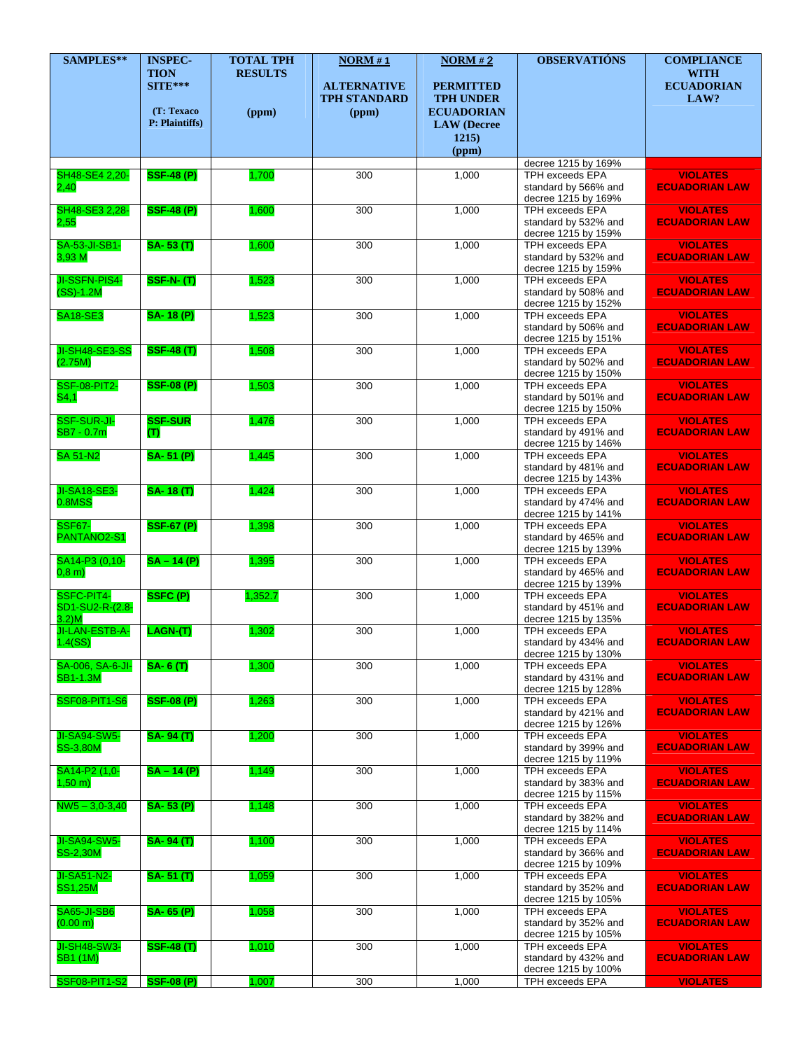| SAMPLES**                                    | <b>INSPEC-</b>                           | <b>TOTAL TPH</b>        | NORM#1                                             | NORM#2                                                    | <b>OBSERVATIÓNS</b>                                                   | <b>COMPLIANCE</b>                        |
|----------------------------------------------|------------------------------------------|-------------------------|----------------------------------------------------|-----------------------------------------------------------|-----------------------------------------------------------------------|------------------------------------------|
|                                              | <b>TION</b><br>$SITE***$<br>(T: Texaco   | <b>RESULTS</b><br>(ppm) | <b>ALTERNATIVE</b><br><b>TPH STANDARD</b><br>(ppm) | <b>PERMITTED</b><br><b>TPH UNDER</b><br><b>ECUADORIAN</b> |                                                                       | <b>WITH</b><br><b>ECUADORIAN</b><br>LAW? |
|                                              | P: Plaintiffs)                           |                         |                                                    | <b>LAW</b> (Decree<br>1215)<br>(ppm)                      |                                                                       |                                          |
|                                              |                                          |                         |                                                    |                                                           | decree 1215 by 169%                                                   |                                          |
| SH48-SE4 2,20-<br>2,40                       | <b>SSF-48 (P)</b>                        | 1,700                   | 300                                                | 1,000                                                     | <b>TPH exceeds EPA</b><br>standard by 566% and<br>decree 1215 by 169% | <b>VIOLATES</b><br><b>ECUADORIAN LAW</b> |
| SH48-SE3 2,28-<br>2,55                       | <b>SSF-48 (P)</b>                        | 1,600                   | 300                                                | 1,000                                                     | <b>TPH exceeds EPA</b><br>standard by 532% and<br>decree 1215 by 159% | <b>VIOLATES</b><br><b>ECUADORIAN LAW</b> |
| <b>SA-53-JI-SB1-</b><br>3,93 M               | <b>SA-53(T)</b>                          | 1,600                   | 300                                                | 1,000                                                     | TPH exceeds EPA<br>standard by 532% and<br>decree 1215 by 159%        | <b>VIOLATES</b><br><b>ECUADORIAN LAW</b> |
| JI-SSFN-PIS4-<br>$(SS)-1.2M$                 | <b>SSF-N-(T)</b>                         | 1,523                   | 300                                                | 1,000                                                     | <b>TPH exceeds EPA</b><br>standard by 508% and<br>decree 1215 by 152% | <b>VIOLATES</b><br><b>ECUADORIAN LAW</b> |
| <b>SA18-SE3</b>                              | <b>SA-18 (P)</b>                         | 1,523                   | 300                                                | 1,000                                                     | TPH exceeds EPA<br>standard by 506% and<br>decree 1215 by 151%        | <b>VIOLATES</b><br><b>ECUADORIAN LAW</b> |
| JI-SH48-SE3-SS<br>(2.75M)                    | <b>SSF-48 (T)</b>                        | 1,508                   | 300                                                | 1,000                                                     | <b>TPH exceeds EPA</b><br>standard by 502% and<br>decree 1215 by 150% | <b>VIOLATES</b><br><b>ECUADORIAN LAW</b> |
| <b>SSF-08-PIT2-</b><br>S4,1                  | <b>SSF-08 (P)</b>                        | 1,503                   | 300                                                | 1,000                                                     | <b>TPH exceeds EPA</b><br>standard by 501% and<br>decree 1215 by 150% | <b>VIOLATES</b><br><b>ECUADORIAN LAW</b> |
| SSF-SUR-JI-<br>SB7 - 0.7m                    | <b>SSF-SUR</b><br>$\mathbf{\mathcal{F}}$ | 1,476                   | 300                                                | 1,000                                                     | <b>TPH exceeds EPA</b><br>standard by 491% and<br>decree 1215 by 146% | <b>VIOLATES</b><br><b>ECUADORIAN LAW</b> |
| <b>SA 51-N2</b>                              | <b>SA-51 (P)</b>                         | 1,445                   | 300                                                | 1,000                                                     | TPH exceeds EPA<br>standard by 481% and<br>decree 1215 by 143%        | <b>VIOLATES</b><br><b>ECUADORIAN LAW</b> |
| <b>JI-SA18-SE3-</b><br>0.8MSS                | <b>SA-18(T)</b>                          | 1,424                   | 300                                                | 1,000                                                     | TPH exceeds EPA<br>standard by 474% and<br>decree 1215 by 141%        | <b>VIOLATES</b><br><b>ECUADORIAN LAW</b> |
| <b>SSF67-</b><br>PANTANO2-S1                 | <b>SSF-67 (P)</b>                        | 1,398                   | 300                                                | 1,000                                                     | <b>TPH exceeds EPA</b><br>standard by 465% and<br>decree 1215 by 139% | <b>VIOLATES</b><br><b>ECUADORIAN LAW</b> |
| SA14-P3 (0,10-<br>0,8, m)                    | $SA - 14(P)$                             | 1,395                   | 300                                                | 1,000                                                     | <b>TPH exceeds EPA</b><br>standard by 465% and<br>decree 1215 by 139% | <b>VIOLATES</b><br><b>ECUADORIAN LAW</b> |
| SSFC-PIT4-<br>SD1-SU2-R-(2.8-<br>$3.2$ ) $M$ | SSFC(P)                                  | 1,352.7                 | 300                                                | 1.000                                                     | TPH exceeds EPA<br>standard by 451% and<br>decree 1215 by 135%        | <b>VIOLATES</b><br><b>ECUADORIAN LAW</b> |
| JI-LAN-ESTB-A-<br>1.4(SS)                    | LAGN-(T)                                 | 1,302                   | 300                                                | 1,000                                                     | <b>TPH exceeds EPA</b><br>standard by 434% and<br>decree 1215 by 130% | <b>VIOLATES</b><br><b>ECUADORIAN LAW</b> |
| SA-006, SA-6-JI-<br><b>SB1-1.3M</b>          | <b>SA-6(T)</b>                           | 1,300                   | 300                                                | 1,000                                                     | TPH exceeds EPA<br>standard by 431% and<br>decree 1215 by 128%        | <b>VIOLATES</b><br><b>ECUADORIAN LAW</b> |
| <b>SSF08-PIT1-S6</b>                         | <b>SSF-08 (P)</b>                        | 1,263                   | 300                                                | 1,000                                                     | TPH exceeds EPA<br>standard by 421% and<br>decree 1215 by 126%        | <b>VIOLATES</b><br><b>ECUADORIAN LAW</b> |
| <b>JI-SA94-SW5-</b><br><b>SS-3,80M</b>       | <b>SA-94 (T)</b>                         | 1,200                   | 300                                                | 1,000                                                     | TPH exceeds EPA<br>standard by 399% and<br>decree 1215 by 119%        | <b>VIOLATES</b><br><b>ECUADORIAN LAW</b> |
| SA14-P2 (1,0-<br>$1,50 \, \text{m}$ )        | $SA - 14(P)$                             | 1,149                   | 300                                                | 1,000                                                     | <b>TPH exceeds EPA</b><br>standard by 383% and<br>decree 1215 by 115% | <b>VIOLATES</b><br><b>ECUADORIAN LAW</b> |
| $NW5 - 3,0-3,40$                             | <b>SA-53 (P)</b>                         | 1,148                   | 300                                                | 1,000                                                     | TPH exceeds EPA<br>standard by 382% and<br>decree 1215 by 114%        | <b>VIOLATES</b><br><b>ECUADORIAN LAW</b> |
| <b>JI-SA94-SW5-</b><br><b>SS-2,30M</b>       | <b>SA-94(T)</b>                          | 1,100                   | 300                                                | 1,000                                                     | TPH exceeds EPA<br>standard by 366% and<br>decree 1215 by 109%        | <b>VIOLATES</b><br><b>ECUADORIAN LAW</b> |
| JI-SA51-N2-<br><b>SS1,25M</b>                | <b>SA-51 (T)</b>                         | 1,059                   | 300                                                | 1,000                                                     | <b>TPH exceeds EPA</b><br>standard by 352% and<br>decree 1215 by 105% | <b>VIOLATES</b><br><b>ECUADORIAN LAW</b> |
| <b>SA65-JI-SB6</b><br>(0.00 m)               | <b>SA-65 (P)</b>                         | 1,058                   | 300                                                | 1,000                                                     | TPH exceeds EPA<br>standard by 352% and<br>decree 1215 by 105%        | <b>VIOLATES</b><br><b>ECUADORIAN LAW</b> |
| JI-SH48-SW3-<br><b>SB1 (1M)</b>              | <b>SSF-48 (T)</b>                        | 1,010                   | 300                                                | 1,000                                                     | <b>TPH</b> exceeds EPA<br>standard by 432% and<br>decree 1215 by 100% | <b>VIOLATES</b><br><b>ECUADORIAN LAW</b> |
| <b>SSF08-PIT1-S2</b>                         | <b>SSF-08 (P)</b>                        | 1,007                   | 300                                                | 1,000                                                     | TPH exceeds EPA                                                       | <b>VIOLATES</b>                          |